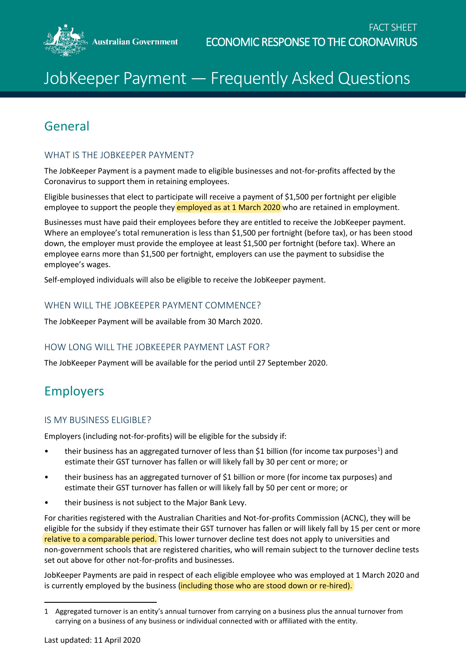

# JobKeeper Payment — Frequently Asked Questions

## General

## WHAT IS THE JOBKEEPER PAYMENT?

The JobKeeper Payment is a payment made to eligible businesses and not-for-profits affected by the Coronavirus to support them in retaining employees.

Eligible businesses that elect to participate will receive a payment of \$1,500 per fortnight per eligible employee to support the people they employed as at 1 March 2020 who are retained in employment.

Businesses must have paid their employees before they are entitled to receive the JobKeeper payment. Where an employee's total remuneration is less than \$1,500 per fortnight (before tax), or has been stood down, the employer must provide the employee at least \$1,500 per fortnight (before tax). Where an employee earns more than \$1,500 per fortnight, employers can use the payment to subsidise the employee's wages.

Self-employed individuals will also be eligible to receive the JobKeeper payment.

## WHEN WILL THE JOBKEEPER PAYMENT COMMENCE?

The JobKeeper Payment will be available from 30 March 2020.

## HOW LONG WILL THE JOBKEEPER PAYMENT LAST FOR?

The JobKeeper Payment will be available for the period until 27 September 2020.

## Employers

## IS MY BUSINESS ELIGIBLE?

Employers (including not-for-profits) will be eligible for the subsidy if:

- their business has an aggregated turnover of less than \$1 billion (for income tax purposes<sup>1</sup>) and estimate their GST turnover has fallen or will likely fall by 30 per cent or more; or
- their business has an aggregated turnover of \$1 billion or more (for income tax purposes) and estimate their GST turnover has fallen or will likely fall by 50 per cent or more; or
- their business is not subject to the Major Bank Levy.

For charities registered with the Australian Charities and Not-for-profits Commission (ACNC), they will be eligible for the subsidy if they estimate their GST turnover has fallen or will likely fall by 15 per cent or more relative to a comparable period. This lower turnover decline test does not apply to universities and non-government schools that are registered charities, who will remain subject to the turnover decline tests set out above for other not-for-profits and businesses.

JobKeeper Payments are paid in respect of each eligible employee who was employed at 1 March 2020 and is currently employed by the business (including those who are stood down or re-hired).

<span id="page-0-0"></span> $\overline{\phantom{a}}$ 1 Aggregated turnover is an entity's annual turnover from carrying on a business plus the annual turnover from carrying on a business of any business or individual connected with or affiliated with the entity.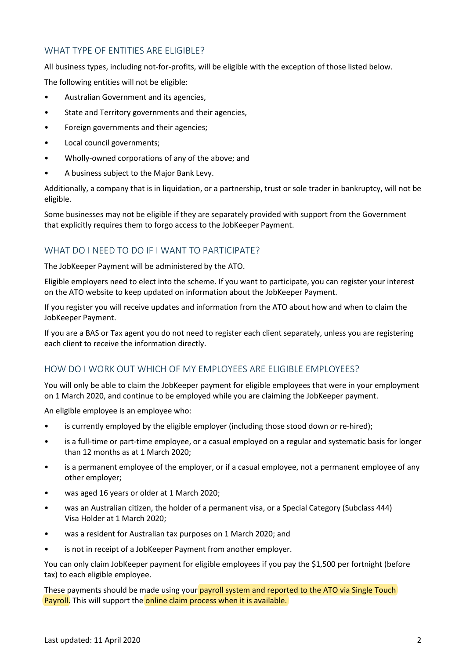## WHAT TYPE OF ENTITIES ARE FLIGIBLE?

All business types, including not-for-profits, will be eligible with the exception of those listed below.

The following entities will not be eligible:

- Australian Government and its agencies,
- State and Territory governments and their agencies,
- Foreign governments and their agencies;
- Local council governments;
- Wholly-owned corporations of any of the above; and
- A business subject to the Major Bank Levy.

Additionally, a company that is in liquidation, or a partnership, trust or sole trader in bankruptcy, will not be eligible.

Some businesses may not be eligible if they are separately provided with support from the Government that explicitly requires them to forgo access to the JobKeeper Payment.

## WHAT DO I NFFD TO DO IF I WANT TO PARTICIPATE?

The JobKeeper Payment will be administered by the ATO.

Eligible employers need to elect into the scheme. If you want to participate, you can register your interest on the ATO website to keep updated on information about the JobKeeper Payment.

If you register you will receive updates and information from the ATO about how and when to claim the JobKeeper Payment.

If you are a BAS or Tax agent you do not need to register each client separately, unless you are registering each client to receive the information directly.

## HOW DO I WORK OUT WHICH OF MY EMPLOYEES ARE ELIGIBLE EMPLOYEES?

You will only be able to claim the JobKeeper payment for eligible employees that were in your employment on 1 March 2020, and continue to be employed while you are claiming the JobKeeper payment.

An eligible employee is an employee who:

- is currently employed by the eligible employer (including those stood down or re-hired);
- is a full-time or part-time employee, or a casual employed on a regular and systematic basis for longer than 12 months as at 1 March 2020;
- is a permanent employee of the employer, or if a casual employee, not a permanent employee of any other employer;
- was aged 16 years or older at 1 March 2020;
- was an Australian citizen, the holder of a permanent visa, or a Special Category (Subclass 444) Visa Holder at 1 March 2020;
- was a resident for Australian tax purposes on 1 March 2020; and
- is not in receipt of a JobKeeper Payment from another employer.

You can only claim JobKeeper payment for eligible employees if you pay the \$1,500 per fortnight (before tax) to each eligible employee.

These payments should be made using your payroll system and reported to the ATO via Single Touch Payroll. This will support the online claim process when it is available.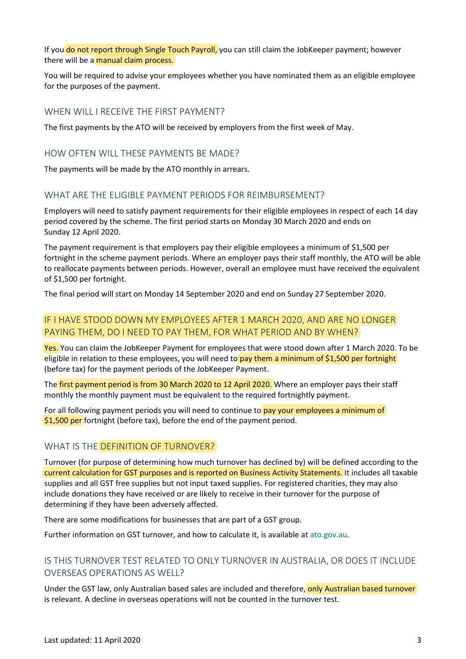If you do not report through Single Touch Payroll, you can still claim the JobKeeper payment; however there will be a manual claim process.

You will be required to advise your employees whether you have nominated them as an eligible employee for the purposes of the payment.

#### WHEN WILL I RECEIVE THE FIRST PAYMENT?

The first payments by the ATO will be received by employers from the first week of May.

#### HOW OFTEN WILL THESE PAYMENTS BE MADE?

The payments will be made by the ATO monthly in arrears.

## WHAT ARE THE ELIGIBLE PAYMENT PERIODS FOR REIMBURSEMENT?

Employers will need to satisfy payment requirements for their eligible employees in respect of each 14 day period covered by the scheme. The first period starts on Monday 30 March 2020 and ends on Sunday 12 April 2020.

The payment requirement is that employers pay their eligible employees a minimum of \$1,500 per fortnight in the scheme payment periods. Where an employer pays their staff monthly, the ATO will be able to reallocate payments between periods. However, overall an employee must have received the equivalent of \$1,500 per fortnight.

The final period will start on Monday 14 September 2020 and end on Sunday 27 September 2020.

## IF I HAVE STOOD DOWN MY EMPLOYEES AFTER 1 MARCH 2020, AND ARE NO LONGER PAYING THEM, DO I NEED TO PAY THEM, FOR WHAT PERIOD AND BY WHEN?

Yes. You can claim the JobKeeper Payment for employees that were stood down after 1 March 2020. To be eligible in relation to these employees, you will need to pay them a minimum of \$1,500 per fortnight (before tax) for the payment periods of the JobKeeper Payment.

The first payment period is from 30 March 2020 to 12 April 2020. Where an employer pays their staff monthly the monthly payment must be equivalent to the required fortnightly payment.

For all following payment periods you will need to continue to pay your employees a minimum of  $$1,500$  per fortnight (before tax), before the end of the payment period.

#### WHAT IS THE DEFINITION OF TURNOVER?

Turnover (for purpose of determining how much turnover has declined by) will be defined according to the current calculation for GST purposes and is reported on Business Activity Statements. It includes all taxable supplies and all GST free supplies but not input taxed supplies. For registered charities, they may also include donations they have received or are likely to receive in their turnover for the purpose of determining if they have been adversely affected.

There are some modifications for businesses that are part of a GST group.

Further information on GST turnover, and how to calculate it, is available at [ato.gov.au.](https://www.ato.gov.au/)

## IS THIS TURNOVER TEST RELATED TO ONLY TURNOVER IN AUSTRALIA, OR DOES IT INCLUDE OVERSEAS OPERATIONS AS WELL?

Under the GST law, only Australian based sales are included and therefore, only Australian based turnover is relevant. A decline in overseas operations will not be counted in the turnover test.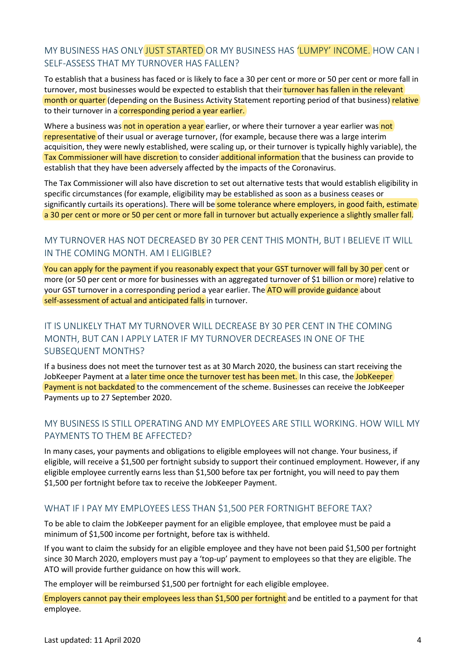## MY BUSINESS HAS ONLY JUST STARTED OR MY BUSINESS HAS 'LUMPY' INCOME. HOW CAN I SELF-ASSESS THAT MY TURNOVER HAS FALLEN?

To establish that a business has faced or is likely to face a 30 per cent or more or 50 per cent or more fall in turnover, most businesses would be expected to establish that their turnover has fallen in the relevant month or quarter (depending on the Business Activity Statement reporting period of that business) relative to their turnover in a corresponding period a year earlier.

Where a business was not in operation a year earlier, or where their turnover a year earlier was not representative of their usual or average turnover, (for example, because there was a large interim acquisition, they were newly established, were scaling up, or their turnover is typically highly variable), the Tax Commissioner will have discretion to consider additional information that the business can provide to establish that they have been adversely affected by the impacts of the Coronavirus.

The Tax Commissioner will also have discretion to set out alternative tests that would establish eligibility in specific circumstances (for example, eligibility may be established as soon as a business ceases or significantly curtails its operations). There will be some tolerance where employers, in good faith, estimate a 30 per cent or more or 50 per cent or more fall in turnover but actually experience a slightly smaller fall.

## MY TURNOVER HAS NOT DECREASED BY 30 PER CENT THIS MONTH, BUT I BELIEVE IT WILL IN THE COMING MONTH. AM I ELIGIBLE?

You can apply for the payment if you reasonably expect that your GST turnover will fall by 30 per cent or more (or 50 per cent or more for businesses with an aggregated turnover of \$1 billion or more) relative to your GST turnover in a corresponding period a year earlier. The **ATO will provide guidance** about self-assessment of actual and anticipated falls in turnover.

## IT IS UNLIKELY THAT MY TURNOVER WILL DECREASE BY 30 PER CENT IN THE COMING MONTH, BUT CAN I APPLY LATER IF MY TURNOVER DECREASES IN ONE OF THE SUBSEQUENT MONTHS?

If a business does not meet the turnover test as at 30 March 2020, the business can start receiving the JobKeeper Payment at a later time once the turnover test has been met. In this case, the JobKeeper Payment is not backdated to the commencement of the scheme. Businesses can receive the JobKeeper Payments up to 27 September 2020.

## MY BUSINESS IS STILL OPERATING AND MY EMPLOYEES ARE STILL WORKING. HOW WILL MY PAYMENTS TO THEM BE AFFECTED?

In many cases, your payments and obligations to eligible employees will not change. Your business, if eligible, will receive a \$1,500 per fortnight subsidy to support their continued employment. However, if any eligible employee currently earns less than \$1,500 before tax per fortnight, you will need to pay them \$1,500 per fortnight before tax to receive the JobKeeper Payment.

## WHAT IF I PAY MY EMPLOYEES LESS THAN \$1,500 PER FORTNIGHT BEFORE TAX?

To be able to claim the JobKeeper payment for an eligible employee, that employee must be paid a minimum of \$1,500 income per fortnight, before tax is withheld.

If you want to claim the subsidy for an eligible employee and they have not been paid \$1,500 per fortnight since 30 March 2020, employers must pay a 'top-up' payment to employees so that they are eligible. The ATO will provide further guidance on how this will work.

The employer will be reimbursed \$1,500 per fortnight for each eligible employee.

Employers cannot pay their employees less than \$1,500 per fortnight and be entitled to a payment for that employee.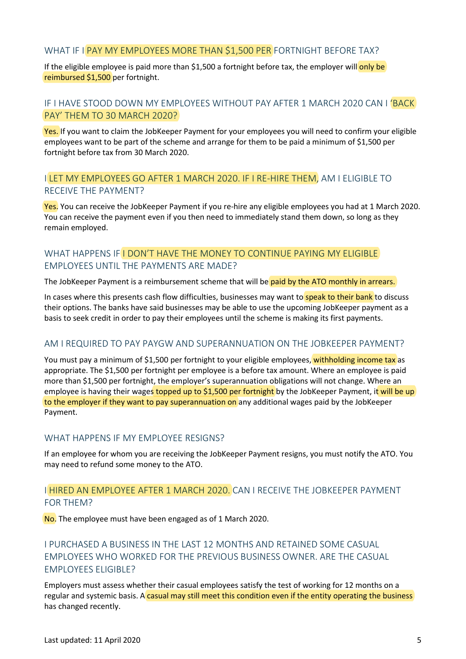## WHAT IF I PAY MY EMPLOYEES MORE THAN \$1,500 PER FORTNIGHT BEFORE TAX?

If the eligible employee is paid more than \$1,500 a fortnight before tax, the employer will only be reimbursed \$1,500 per fortnight.

## IF I HAVE STOOD DOWN MY EMPLOYEES WITHOUT PAY AFTER 1 MARCH 2020 CAN I 'BACK PAY' THEM TO 30 MARCH 2020?

Yes. If you want to claim the JobKeeper Payment for your employees you will need to confirm your eligible employees want to be part of the scheme and arrange for them to be paid a minimum of \$1,500 per fortnight before tax from 30 March 2020.

#### I LET MY EMPLOYEES GO AFTER 1 MARCH 2020. IF I RE-HIRE THEM, AM I ELIGIBLE TO RECEIVE THE PAYMENT?

Yes. You can receive the JobKeeper Payment if you re-hire any eligible employees you had at 1 March 2020. You can receive the payment even if you then need to immediately stand them down, so long as they remain employed.

## WHAT HAPPENS IF LDON'T HAVE THE MONEY TO CONTINUE PAYING MY FLIGIBLE EMPLOYEES UNTIL THE PAYMENTS ARE MADE?

The JobKeeper Payment is a reimbursement scheme that will be paid by the ATO monthly in arrears.

In cases where this presents cash flow difficulties, businesses may want to speak to their bank to discuss their options. The banks have said businesses may be able to use the upcoming JobKeeper payment as a basis to seek credit in order to pay their employees until the scheme is making its first payments.

#### AM I REQUIRED TO PAY PAYGW AND SUPERANNUATION ON THE JOBKEEPER PAYMENT?

You must pay a minimum of \$1,500 per fortnight to your eligible employees, withholding income tax as appropriate. The \$1,500 per fortnight per employee is a before tax amount. Where an employee is paid more than \$1,500 per fortnight, the employer's superannuation obligations will not change. Where an employee is having their wages topped up to \$1,500 per fortnight by the JobKeeper Payment, it will be up to the employer if they want to pay superannuation on any additional wages paid by the JobKeeper Payment.

#### WHAT HAPPENS IF MY EMPLOYEE RESIGNS?

If an employee for whom you are receiving the JobKeeper Payment resigns, you must notify the ATO. You may need to refund some money to the ATO.

#### I HIRED AN EMPLOYEE AFTER 1 MARCH 2020. CAN I RECEIVE THE JOBKEEPER PAYMENT FOR THEM?

No. The employee must have been engaged as of 1 March 2020.

## I PURCHASED A BUSINESS IN THE LAST 12 MONTHS AND RETAINED SOME CASUAL EMPLOYEES WHO WORKED FOR THE PREVIOUS BUSINESS OWNER. ARE THE CASUAL EMPLOYEES ELIGIBLE?

Employers must assess whether their casual employees satisfy the test of working for 12 months on a regular and systemic basis. A casual may still meet this condition even if the entity operating the business has changed recently.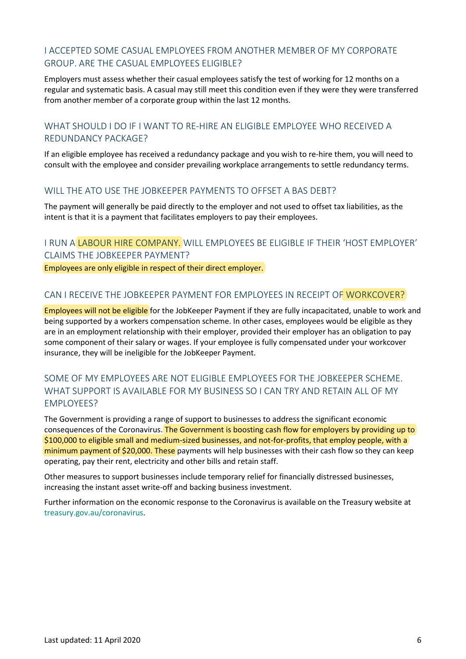## I ACCEPTED SOME CASUAL EMPLOYEES FROM ANOTHER MEMBER OF MY CORPORATE GROUP. ARE THE CASUAL EMPLOYEES ELIGIBLE?

Employers must assess whether their casual employees satisfy the test of working for 12 months on a regular and systematic basis. A casual may still meet this condition even if they were they were transferred from another member of a corporate group within the last 12 months.

## WHAT SHOULD LDO IF LWANT TO RE-HIRE AN FLIGIBLE EMPLOYEE WHO RECEIVED A REDUNDANCY PACKAGE?

If an eligible employee has received a redundancy package and you wish to re-hire them, you will need to consult with the employee and consider prevailing workplace arrangements to settle redundancy terms.

## WILL THE ATO USE THE JOBKEEPER PAYMENTS TO OFFSET A BAS DEBT?

The payment will generally be paid directly to the employer and not used to offset tax liabilities, as the intent is that it is a payment that facilitates employers to pay their employees.

## I RUN A LABOUR HIRE COMPANY. WILL EMPLOYEES BE ELIGIBLE IF THEIR 'HOST EMPLOYER' CLAIMS THE JOBKEEPER PAYMENT?

Employees are only eligible in respect of their direct employer.

## CAN I RECEIVE THE JOBKEEPER PAYMENT FOR EMPLOYEES IN RECEIPT OF WORKCOVER?

Employees will not be eligible for the JobKeeper Payment if they are fully incapacitated, unable to work and being supported by a workers compensation scheme. In other cases, employees would be eligible as they are in an employment relationship with their employer, provided their employer has an obligation to pay some component of their salary or wages. If your employee is fully compensated under your workcover insurance, they will be ineligible for the JobKeeper Payment.

## SOME OF MY EMPLOYEES ARE NOT ELIGIBLE EMPLOYEES FOR THE JOBKEEPER SCHEME. WHAT SUPPORT IS AVAILABLE FOR MY BUSINESS SO I CAN TRY AND RETAIN ALL OF MY EMPLOYEES?

The Government is providing a range of support to businesses to address the significant economic consequences of the Coronavirus. The Government is boosting cash flow for employers by providing up to \$100,000 to eligible small and medium-sized businesses, and not-for-profits, that employ people, with a minimum payment of \$20,000. These payments will help businesses with their cash flow so they can keep operating, pay their rent, electricity and other bills and retain staff.

Other measures to support businesses include temporary relief for financially distressed businesses, increasing the instant asset write-off and backing business investment.

Further information on the economic response to the Coronavirus is available on the Treasury website at [treasury.gov.au/coronavirus.](https://treasury.gov.au/coronavirus)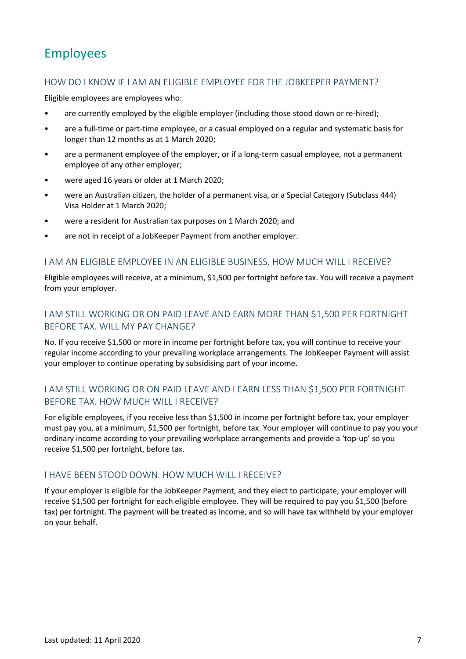## Employees

#### HOW DO I KNOW IF I AM AN ELIGIBLE EMPLOYEE FOR THE JOBKEEPER PAYMENT?

Eligible employees are employees who:

- are currently employed by the eligible employer (including those stood down or re-hired);
- are a full-time or part-time employee, or a casual employed on a regular and systematic basis for longer than 12 months as at 1 March 2020;
- are a permanent employee of the employer, or if a long-term casual employee, not a permanent employee of any other employer;
- were aged 16 years or older at 1 March 2020;
- were an Australian citizen, the holder of a permanent visa, or a Special Category (Subclass 444) Visa Holder at 1 March 2020;
- were a resident for Australian tax purposes on 1 March 2020; and
- are not in receipt of a JobKeeper Payment from another employer.

#### I AM AN ELIGIBLE EMPLOYEE IN AN ELIGIBLE BUSINESS. HOW MUCH WILL I RECEIVE?

Eligible employees will receive, at a minimum, \$1,500 per fortnight before tax. You will receive a payment from your employer.

## I AM STILL WORKING OR ON PAID LEAVE AND EARN MORE THAN \$1,500 PER FORTNIGHT BEFORE TAX. WILL MY PAY CHANGE?

No. If you receive \$1,500 or more in income per fortnight before tax, you will continue to receive your regular income according to your prevailing workplace arrangements. The JobKeeper Payment will assist your employer to continue operating by subsidising part of your income.

## I AM STILL WORKING OR ON PAID LEAVE AND I EARN LESS THAN \$1,500 PER FORTNIGHT BEFORE TAX. HOW MUCH WILL I RECEIVE?

For eligible employees, if you receive less than \$1,500 in income per fortnight before tax, your employer must pay you, at a minimum, \$1,500 per fortnight, before tax. Your employer will continue to pay you your ordinary income according to your prevailing workplace arrangements and provide a 'top-up' so you receive \$1,500 per fortnight, before tax.

#### I HAVE BEEN STOOD DOWN. HOW MUCH WILL I RECEIVE?

If your employer is eligible for the JobKeeper Payment, and they elect to participate, your employer will receive \$1,500 per fortnight for each eligible employee. They will be required to pay you \$1,500 (before tax) per fortnight. The payment will be treated as income, and so will have tax withheld by your employer on your behalf.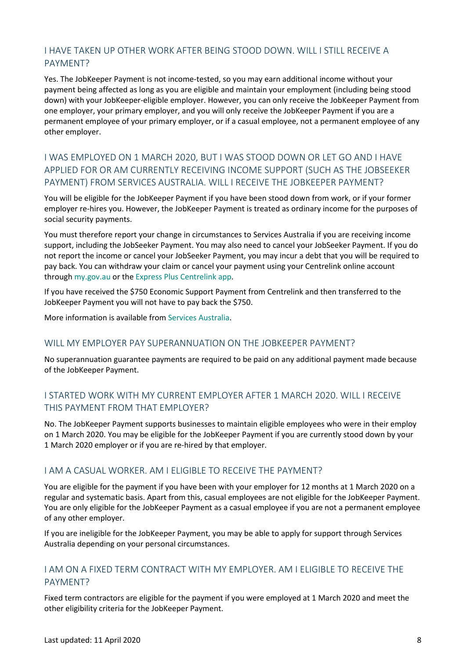## I HAVE TAKEN UP OTHER WORK AFTER BEING STOOD DOWN. WILL I STILL RECEIVE A PAYMENT?

Yes. The JobKeeper Payment is not income-tested, so you may earn additional income without your payment being affected as long as you are eligible and maintain your employment (including being stood down) with your JobKeeper-eligible employer. However, you can only receive the JobKeeper Payment from one employer, your primary employer, and you will only receive the JobKeeper Payment if you are a permanent employee of your primary employer, or if a casual employee, not a permanent employee of any other employer.

## I WAS EMPLOYED ON 1 MARCH 2020, BUT I WAS STOOD DOWN OR LET GO AND I HAVE APPLIED FOR OR AM CURRENTLY RECEIVING INCOME SUPPORT (SUCH AS THE JOBSEEKER PAYMENT) FROM SERVICES AUSTRALIA. WILL I RECEIVE THE JOBKEEPER PAYMENT?

You will be eligible for the JobKeeper Payment if you have been stood down from work, or if your former employer re-hires you. However, the JobKeeper Payment is treated as ordinary income for the purposes of social security payments.

You must therefore report your change in circumstances to Services Australia if you are receiving income support, including the JobSeeker Payment. You may also need to cancel your JobSeeker Payment. If you do not report the income or cancel your JobSeeker Payment, you may incur a debt that you will be required to pay back. You can withdraw your claim or cancel your payment using your [Centrelink online account](https://www.servicesaustralia.gov.au/individuals/services/centrelink/centrelink-online-accounts#_blank) through [my.gov.au](hhtp://my.gov.au/) or the [Express Plus Centrelink app.](https://www.servicesaustralia.gov.au/individuals/services/centrelink/express-plus-centrelink-mobile-apps#_blank)

If you have received the \$750 Economic Support Payment from Centrelink and then transferred to the JobKeeper Payment you will not have to pay back the \$750.

More information is available from [Services Australia.](https://www.servicesaustralia.gov.au/individuals/subjects/affected-coronavirus-covid-19)

## WILL MY EMPLOYER PAY SUPERANNUATION ON THE JOBKEEPER PAYMENT?

No superannuation guarantee payments are required to be paid on any additional payment made because of the JobKeeper Payment.

## I STARTED WORK WITH MY CURRENT EMPLOYER AFTER 1 MARCH 2020. WILL I RECEIVE THIS PAYMENT FROM THAT EMPLOYER?

No. The JobKeeper Payment supports businesses to maintain eligible employees who were in their employ on 1 March 2020. You may be eligible for the JobKeeper Payment if you are currently stood down by your 1 March 2020 employer or if you are re-hired by that employer.

## I AM A CASUAL WORKER. AM I ELIGIBLE TO RECEIVE THE PAYMENT?

You are eligible for the payment if you have been with your employer for 12 months at 1 March 2020 on a regular and systematic basis. Apart from this, casual employees are not eligible for the JobKeeper Payment. You are only eligible for the JobKeeper Payment as a casual employee if you are not a permanent employee of any other employer.

If you are ineligible for the JobKeeper Payment, you may be able to apply for support through Services Australia depending on your personal circumstances.

## I AM ON A FIXED TERM CONTRACT WITH MY EMPLOYER. AM I ELIGIBLE TO RECEIVE THE PAYMENT?

Fixed term contractors are eligible for the payment if you were employed at 1 March 2020 and meet the other eligibility criteria for the JobKeeper Payment.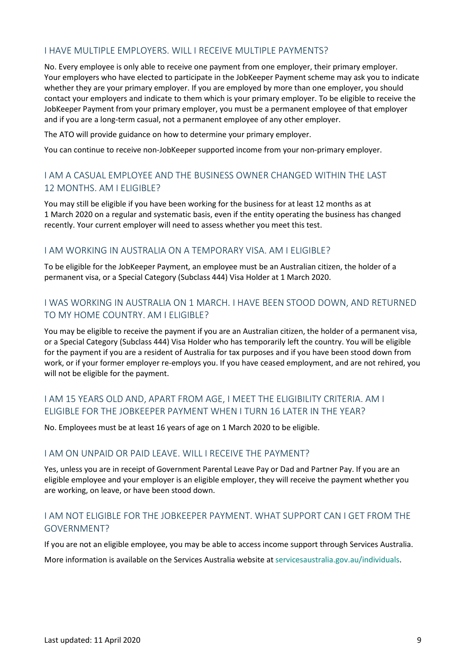## I HAVE MULTIPLE EMPLOYERS. WILL I RECEIVE MULTIPLE PAYMENTS?

No. Every employee is only able to receive one payment from one employer, their primary employer. Your employers who have elected to participate in the JobKeeper Payment scheme may ask you to indicate whether they are your primary employer. If you are employed by more than one employer, you should contact your employers and indicate to them which is your primary employer. To be eligible to receive the JobKeeper Payment from your primary employer, you must be a permanent employee of that employer and if you are a long-term casual, not a permanent employee of any other employer.

The ATO will provide guidance on how to determine your primary employer.

You can continue to receive non-JobKeeper supported income from your non-primary employer.

## I AM A CASUAL EMPLOYEE AND THE BUSINESS OWNER CHANGED WITHIN THE LAST 12 MONTHS. AM I ELIGIBLE?

You may still be eligible if you have been working for the business for at least 12 months as at 1 March 2020 on a regular and systematic basis, even if the entity operating the business has changed recently. Your current employer will need to assess whether you meet this test.

## I AM WORKING IN AUSTRALIA ON A TEMPORARY VISA. AM I ELIGIBLE?

To be eligible for the JobKeeper Payment, an employee must be an Australian citizen, the holder of a permanent visa, or a Special Category (Subclass 444) Visa Holder at 1 March 2020.

## I WAS WORKING IN AUSTRALIA ON 1 MARCH. I HAVE BEEN STOOD DOWN, AND RETURNED TO MY HOME COUNTRY. AM I ELIGIBLE?

You may be eligible to receive the payment if you are an Australian citizen, the holder of a permanent visa, or a Special Category (Subclass 444) Visa Holder who has temporarily left the country. You will be eligible for the payment if you are a resident of Australia for tax purposes and if you have been stood down from work, or if your former employer re-employs you. If you have ceased employment, and are not rehired, you will not be eligible for the payment.

## I AM 15 YEARS OLD AND, APART FROM AGE, I MEET THE ELIGIBILITY CRITERIA. AM I ELIGIBLE FOR THE JOBKEEPER PAYMENT WHEN I TURN 16 LATER IN THE YEAR?

No. Employees must be at least 16 years of age on 1 March 2020 to be eligible.

## I AM ON UNPAID OR PAID LEAVE. WILL I RECEIVE THE PAYMENT?

Yes, unless you are in receipt of Government Parental Leave Pay or Dad and Partner Pay. If you are an eligible employee and your employer is an eligible employer, they will receive the payment whether you are working, on leave, or have been stood down.

## I AM NOT ELIGIBLE FOR THE JOBKEEPER PAYMENT. WHAT SUPPORT CAN I GET FROM THE GOVERNMENT?

If you are not an eligible employee, you may be able to access income support through Services Australia. More information is available on the Services Australia website at [servicesaustralia.gov.au/individuals.](https://www.servicesaustralia.gov.au/individuals/subjects/affected-coronavirus-covid-19)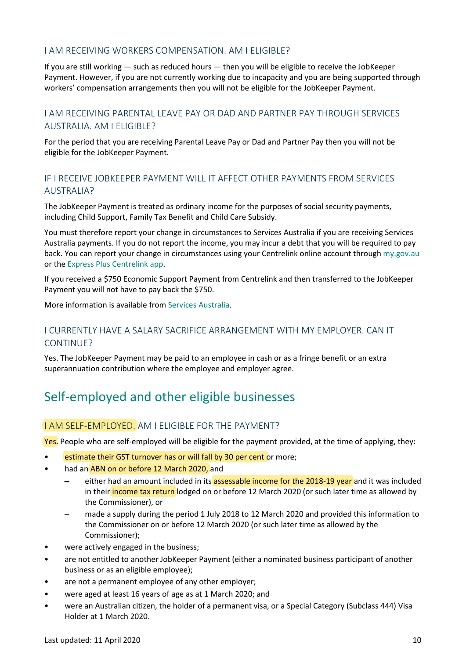## I AM RECEIVING WORKERS COMPENSATION. AM I ELIGIBLE?

If you are still working — such as reduced hours — then you will be eligible to receive the JobKeeper Payment. However, if you are not currently working due to incapacity and you are being supported through workers' compensation arrangements then you will not be eligible for the JobKeeper Payment.

## I AM RECEIVING PARENTAL LEAVE PAY OR DAD AND PARTNER PAY THROUGH SERVICES AUSTRALIA. AM I ELIGIBLE?

For the period that you are receiving Parental Leave Pay or Dad and Partner Pay then you will not be eligible for the JobKeeper Payment.

## IF I RECEIVE JOBKEEPER PAYMENT WILL IT AFFECT OTHER PAYMENTS FROM SERVICES AUSTRALIA?

The JobKeeper Payment is treated as ordinary income for the purposes of social security payments, including Child Support, Family Tax Benefit and Child Care Subsidy.

You must therefore report your change in circumstances to Services Australia if you are receiving Services Australia payments. If you do not report the income, you may incur a debt that you will be required to pay back. You can report your change in circumstances using you[r Centrelink online account](https://www.servicesaustralia.gov.au/individuals/services/centrelink/centrelink-online-accounts#_blank) through [my.gov.au](hhtp://my.gov.au/) or the [Express Plus Centrelink app.](https://www.servicesaustralia.gov.au/individuals/services/centrelink/express-plus-centrelink-mobile-apps#_blank)

If you received a \$750 Economic Support Payment from Centrelink and then transferred to the JobKeeper Payment you will not have to pay back the \$750.

More information is available from [Services Australia.](https://www.servicesaustralia.gov.au/individuals/subjects/affected-coronavirus-covid-19) 

## I CURRENTLY HAVE A SALARY SACRIFICE ARRANGEMENT WITH MY EMPLOYER. CAN IT CONTINUE?

Yes. The JobKeeper Payment may be paid to an employee in cash or as a fringe benefit or an extra superannuation contribution where the employee and employer agree.

## Self-employed and other eligible businesses

## I AM SELF-EMPLOYED. AM I ELIGIBLE FOR THE PAYMENT?

Yes. People who are self-employed will be eligible for the payment provided, at the time of applying, they:

- estimate their GST turnover has or will fall by 30 per cent or more;
- had an ABN on or before 12 March 2020, and
	- either had an amount included in its assessable income for the 2018-19 year and it was included in their income tax return lodged on or before 12 March 2020 (or such later time as allowed by the Commissioner), or
	- made a supply during the period 1 July 2018 to 12 March 2020 and provided this information to the Commissioner on or before 12 March 2020 (or such later time as allowed by the Commissioner);
- were actively engaged in the business;
- are not entitled to another JobKeeper Payment (either a nominated business participant of another business or as an eligible employee);
- are not a permanent employee of any other employer;
- were aged at least 16 years of age as at 1 March 2020; and
- were an Australian citizen, the holder of a permanent visa, or a Special Category (Subclass 444) Visa Holder at 1 March 2020.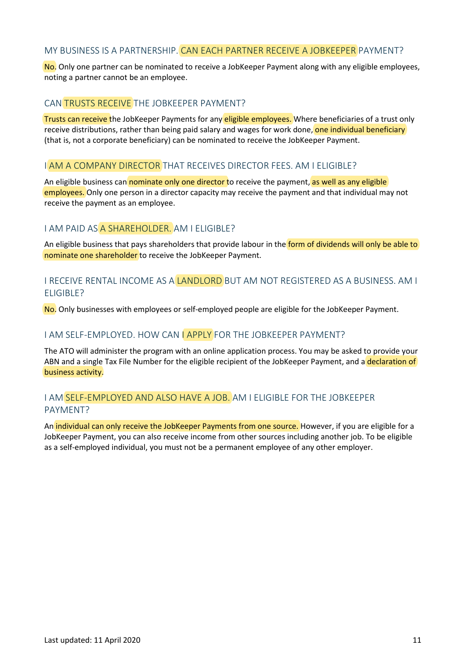#### MY BUSINESS IS A PARTNERSHIP. CAN EACH PARTNER RECEIVE A JOBKEEPER PAYMENT?

No. Only one partner can be nominated to receive a JobKeeper Payment along with any eligible employees, noting a partner cannot be an employee.

#### CAN TRUSTS RECEIVE THE JOBKEEPER PAYMENT?

Trusts can receive the JobKeeper Payments for any eligible employees. Where beneficiaries of a trust only receive distributions, rather than being paid salary and wages for work done, one individual beneficiary (that is, not a corporate beneficiary) can be nominated to receive the JobKeeper Payment.

#### I AM A COMPANY DIRECTOR THAT RECEIVES DIRECTOR FEES. AM I ELIGIBLE?

An eligible business can nominate only one director to receive the payment, as well as any eligible employees. Only one person in a director capacity may receive the payment and that individual may not receive the payment as an employee.

#### I AM PAID AS A SHAREHOLDER. AM I ELIGIBLE?

An eligible business that pays shareholders that provide labour in the form of dividends will only be able to nominate one shareholder to receive the JobKeeper Payment.

## I RECEIVE RENTAL INCOME AS A LANDLORD BUT AM NOT REGISTERED AS A BUSINESS. AM I ELIGIBLE?

No. Only businesses with employees or self-employed people are eligible for the JobKeeper Payment.

#### I AM SELF-EMPLOYED. HOW CAN LAPPLY FOR THE JOBKEEPER PAYMENT?

The ATO will administer the program with an online application process. You may be asked to provide your ABN and a single Tax File Number for the eligible recipient of the JobKeeper Payment, and a declaration of business activity.

#### I AM SELF-EMPLOYED AND ALSO HAVE A JOB. AM I ELIGIBLE FOR THE JOBKEEPER PAYMENT?

An *individual can only receive the JobKeeper Payments from one source*. However, if you are eligible for a JobKeeper Payment, you can also receive income from other sources including another job. To be eligible as a self-employed individual, you must not be a permanent employee of any other employer.